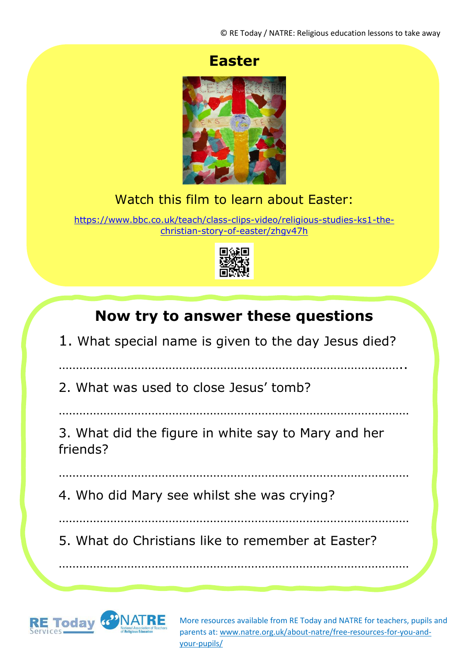### **Easter**



#### Watch this film to learn about Easter:

[https://www.bbc.co.uk/teach/class-clips-video/religious-studies-ks1-the](https://www.bbc.co.uk/teach/class-clips-video/religious-studies-ks1-the-christian-story-of-easter/zhgv47h)[christian-story-of-easter/zhgv47h](https://www.bbc.co.uk/teach/class-clips-video/religious-studies-ks1-the-christian-story-of-easter/zhgv47h)



# **Now try to answer these questions**

1. What special name is given to the day Jesus died?

………………………………………………………………………………………..

2. What was used to close Jesus' tomb?

…………………………………………………………………………………………

3. What did the figure in white say to Mary and her friends?

…………………………………………………………………………………………

4. Who did Mary see whilst she was crying?

…………………………………………………………………………………………

…………………………………………………………………………………………

5. What do Christians like to remember at Easter?



More resources available from RE Today and NATRE for teachers, pupils and parents at: [www.natre.org.uk/about-natre/free-resources-for-you-and](http://www.natre.org.uk/about-natre/free-resources-for-you-and-your-pupils/)[your-pupils/](http://www.natre.org.uk/about-natre/free-resources-for-you-and-your-pupils/)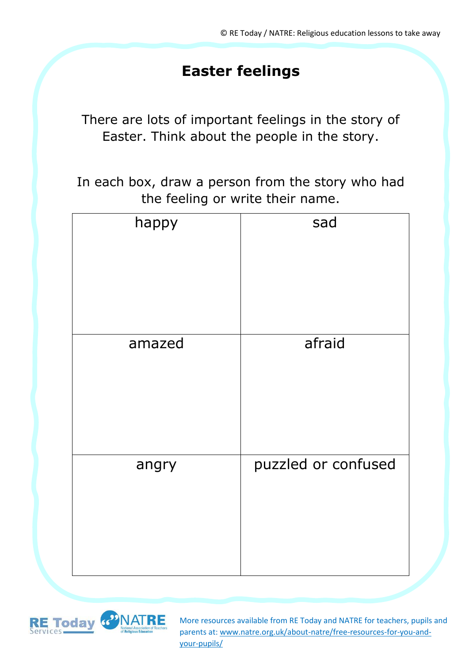# **Easter feelings**

There are lots of important feelings in the story of Easter. Think about the people in the story.

In each box, draw a person from the story who had the feeling or write their name.

| happy  | sad                 |
|--------|---------------------|
| amazed | afraid              |
| angry  | puzzled or confused |



More resources available from RE Today and NATRE for teachers, pupils and parents at: [www.natre.org.uk/about-natre/free-resources-for-you-and](http://www.natre.org.uk/about-natre/free-resources-for-you-and-your-pupils/)[your-pupils/](http://www.natre.org.uk/about-natre/free-resources-for-you-and-your-pupils/)